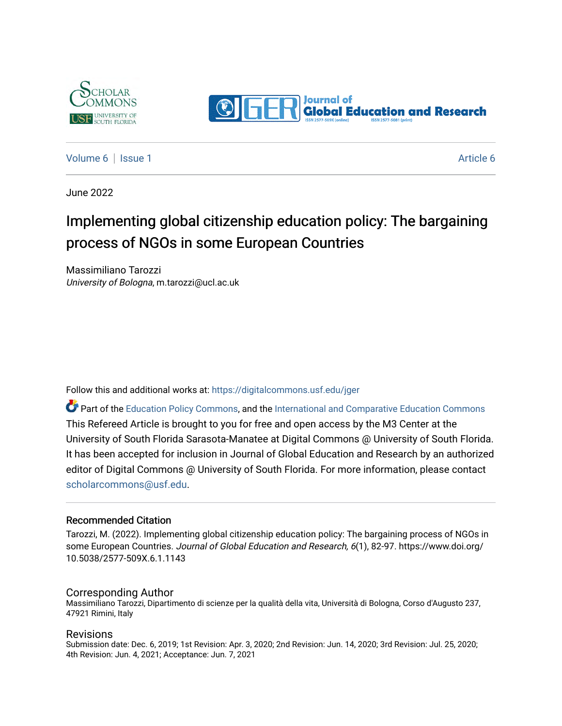



[Volume 6](https://digitalcommons.usf.edu/jger/vol6) | [Issue 1](https://digitalcommons.usf.edu/jger/vol6/iss1) [Article 6](https://digitalcommons.usf.edu/jger/vol6/iss1/6) | Article 6 | Article 6 | Article 6 | Article 6 | Article 6 | Article 6 | Article 6 | Article 6 | Article 6 | Article 6 | Article 6 | Article 6 | Article 6 | Article 6 | Article 6 | Article 6 |

June 2022

# Implementing global citizenship education policy: The bargaining process of NGOs in some European Countries

Massimiliano Tarozzi University of Bologna, m.tarozzi@ucl.ac.uk

Follow this and additional works at: [https://digitalcommons.usf.edu/jger](https://digitalcommons.usf.edu/jger?utm_source=digitalcommons.usf.edu%2Fjger%2Fvol6%2Fiss1%2F6&utm_medium=PDF&utm_campaign=PDFCoverPages) 

Part of the [Education Policy Commons](http://network.bepress.com/hgg/discipline/1026?utm_source=digitalcommons.usf.edu%2Fjger%2Fvol6%2Fiss1%2F6&utm_medium=PDF&utm_campaign=PDFCoverPages), and the [International and Comparative Education Commons](http://network.bepress.com/hgg/discipline/797?utm_source=digitalcommons.usf.edu%2Fjger%2Fvol6%2Fiss1%2F6&utm_medium=PDF&utm_campaign=PDFCoverPages)  This Refereed Article is brought to you for free and open access by the M3 Center at the University of South Florida Sarasota-Manatee at Digital Commons @ University of South Florida. It has been accepted for inclusion in Journal of Global Education and Research by an authorized editor of Digital Commons @ University of South Florida. For more information, please contact [scholarcommons@usf.edu.](mailto:scholarcommons@usf.edu)

#### Recommended Citation

Tarozzi, M. (2022). Implementing global citizenship education policy: The bargaining process of NGOs in some European Countries. Journal of Global Education and Research, 6(1), 82-97. https://www.doi.org/ 10.5038/2577-509X.6.1.1143

#### Corresponding Author

Massimiliano Tarozzi, Dipartimento di scienze per la qualità della vita, Università di Bologna, Corso d'Augusto 237, 47921 Rimini, Italy

#### Revisions

Submission date: Dec. 6, 2019; 1st Revision: Apr. 3, 2020; 2nd Revision: Jun. 14, 2020; 3rd Revision: Jul. 25, 2020; 4th Revision: Jun. 4, 2021; Acceptance: Jun. 7, 2021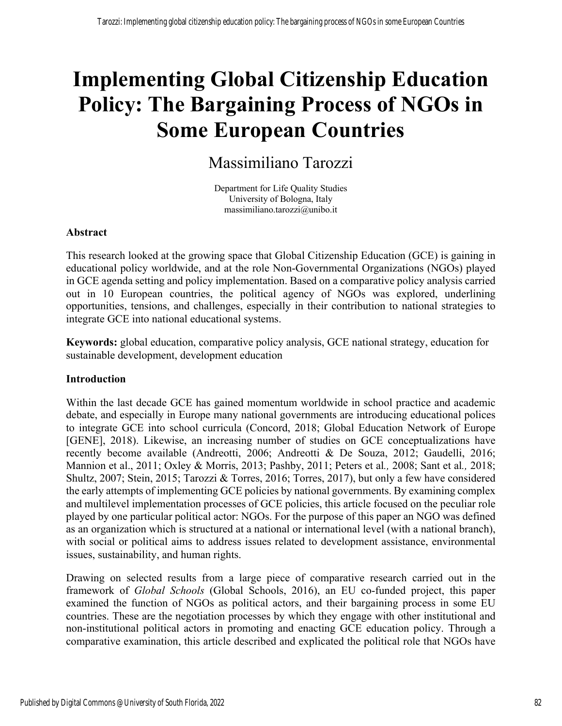# **Implementing Global Citizenship Education Policy: The Bargaining Process of NGOs in Some European Countries**

# Massimiliano Tarozzi

Department for Life Quality Studies University of Bologna, Italy massimiliano.tarozzi@unibo.it

## **Abstract**

This research looked at the growing space that Global Citizenship Education (GCE) is gaining in educational policy worldwide, and at the role Non-Governmental Organizations (NGOs) played in GCE agenda setting and policy implementation. Based on a comparative policy analysis carried out in 10 European countries, the political agency of NGOs was explored, underlining opportunities, tensions, and challenges, especially in their contribution to national strategies to integrate GCE into national educational systems.

**Keywords:** global education, comparative policy analysis, GCE national strategy, education for sustainable development, development education

#### **Introduction**

Within the last decade GCE has gained momentum worldwide in school practice and academic debate, and especially in Europe many national governments are introducing educational polices to integrate GCE into school curricula (Concord, 2018; Global Education Network of Europe [GENE], 2018). Likewise, an increasing number of studies on GCE conceptualizations have recently become available (Andreotti, 2006; Andreotti & De Souza, 2012; Gaudelli, 2016; Mannion et al., 2011; Oxley & Morris, 2013; Pashby, 2011; Peters et al*.,* 2008; Sant et al*.,* 2018; Shultz, 2007; Stein, 2015; Tarozzi & Torres, 2016; Torres, 2017), but only a few have considered the early attempts of implementing GCE policies by national governments. By examining complex and multilevel implementation processes of GCE policies, this article focused on the peculiar role played by one particular political actor: NGOs. For the purpose of this paper an NGO was defined as an organization which is structured at a national or international level (with a national branch), with social or political aims to address issues related to development assistance, environmental issues, sustainability, and human rights.

Drawing on selected results from a large piece of comparative research carried out in the framework of *Global Schools* (Global Schools, 2016), an EU co-funded project, this paper examined the function of NGOs as political actors, and their bargaining process in some EU countries. These are the negotiation processes by which they engage with other institutional and non-institutional political actors in promoting and enacting GCE education policy. Through a comparative examination, this article described and explicated the political role that NGOs have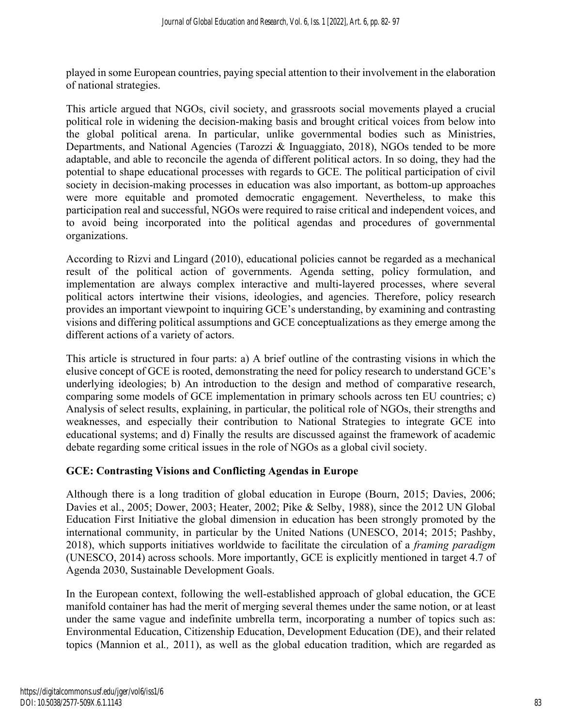played in some European countries, paying special attention to their involvement in the elaboration of national strategies.

This article argued that NGOs, civil society, and grassroots social movements played a crucial political role in widening the decision-making basis and brought critical voices from below into the global political arena. In particular, unlike governmental bodies such as Ministries, Departments, and National Agencies (Tarozzi & Inguaggiato, 2018), NGOs tended to be more adaptable, and able to reconcile the agenda of different political actors. In so doing, they had the potential to shape educational processes with regards to GCE. The political participation of civil society in decision-making processes in education was also important, as bottom-up approaches were more equitable and promoted democratic engagement. Nevertheless, to make this participation real and successful, NGOs were required to raise critical and independent voices, and to avoid being incorporated into the political agendas and procedures of governmental organizations.

According to Rizvi and Lingard (2010), educational policies cannot be regarded as a mechanical result of the political action of governments. Agenda setting, policy formulation, and implementation are always complex interactive and multi-layered processes, where several political actors intertwine their visions, ideologies, and agencies. Therefore, policy research provides an important viewpoint to inquiring GCE's understanding, by examining and contrasting visions and differing political assumptions and GCE conceptualizations as they emerge among the different actions of a variety of actors.

This article is structured in four parts: a) A brief outline of the contrasting visions in which the elusive concept of GCE is rooted, demonstrating the need for policy research to understand GCE's underlying ideologies; b) An introduction to the design and method of comparative research, comparing some models of GCE implementation in primary schools across ten EU countries; c) Analysis of select results, explaining, in particular, the political role of NGOs, their strengths and weaknesses, and especially their contribution to National Strategies to integrate GCE into educational systems; and d) Finally the results are discussed against the framework of academic debate regarding some critical issues in the role of NGOs as a global civil society.

## **GCE: Contrasting Visions and Conflicting Agendas in Europe**

Although there is a long tradition of global education in Europe (Bourn, 2015; Davies, 2006; Davies et al., 2005; Dower, 2003; Heater, 2002; Pike & Selby, 1988), since the 2012 UN Global Education First Initiative the global dimension in education has been strongly promoted by the international community, in particular by the United Nations (UNESCO, 2014; 2015; Pashby, 2018), which supports initiatives worldwide to facilitate the circulation of a *framing paradigm* (UNESCO, 2014) across schools. More importantly, GCE is explicitly mentioned in target 4.7 of Agenda 2030, Sustainable Development Goals.

In the European context, following the well-established approach of global education, the GCE manifold container has had the merit of merging several themes under the same notion, or at least under the same vague and indefinite umbrella term, incorporating a number of topics such as: Environmental Education, Citizenship Education, Development Education (DE), and their related topics (Mannion et al*.,* 2011), as well as the global education tradition, which are regarded as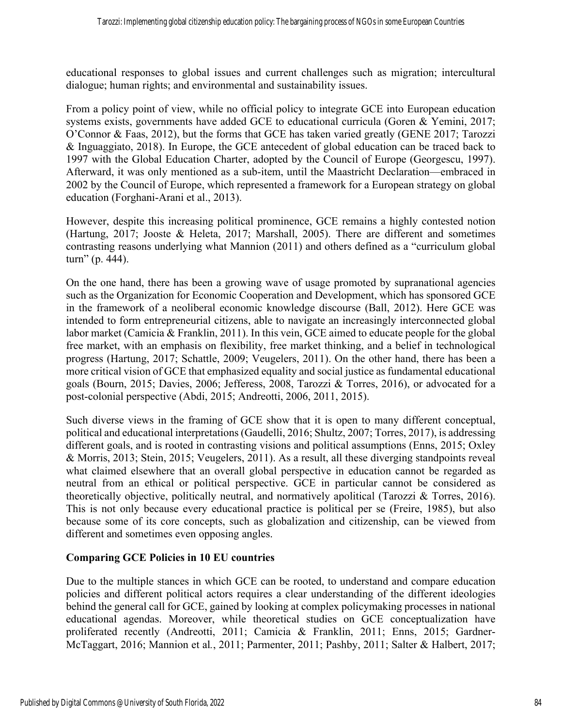educational responses to global issues and current challenges such as migration; intercultural dialogue; human rights; and environmental and sustainability issues.

From a policy point of view, while no official policy to integrate GCE into European education systems exists, governments have added GCE to educational curricula (Goren & Yemini, 2017; O'Connor & Faas, 2012), but the forms that GCE has taken varied greatly (GENE 2017; Tarozzi & Inguaggiato, 2018). In Europe, the GCE antecedent of global education can be traced back to 1997 with the Global Education Charter, adopted by the Council of Europe (Georgescu, 1997). Afterward, it was only mentioned as a sub-item, until the Maastricht Declaration—embraced in 2002 by the Council of Europe, which represented a framework for a European strategy on global education (Forghani-Arani et al., 2013).

However, despite this increasing political prominence, GCE remains a highly contested notion (Hartung, 2017; Jooste & Heleta, 2017; Marshall, 2005). There are different and sometimes contrasting reasons underlying what Mannion (2011) and others defined as a "curriculum global turn" (p. 444).

On the one hand, there has been a growing wave of usage promoted by supranational agencies such as the Organization for Economic Cooperation and Development, which has sponsored GCE in the framework of a neoliberal economic knowledge discourse (Ball, 2012). Here GCE was intended to form entrepreneurial citizens, able to navigate an increasingly interconnected global labor market (Camicia & Franklin, 2011). In this vein, GCE aimed to educate people for the global free market, with an emphasis on flexibility, free market thinking, and a belief in technological progress (Hartung, 2017; Schattle, 2009; Veugelers, 2011). On the other hand, there has been a more critical vision of GCE that emphasized equality and social justice as fundamental educational goals (Bourn, 2015; Davies, 2006; Jefferess, 2008, Tarozzi & Torres, 2016), or advocated for a post-colonial perspective (Abdi, 2015; Andreotti, 2006, 2011, 2015).

Such diverse views in the framing of GCE show that it is open to many different conceptual, political and educational interpretations (Gaudelli, 2016; Shultz, 2007; Torres, 2017), is addressing different goals, and is rooted in contrasting visions and political assumptions (Enns, 2015; Oxley & Morris, 2013; Stein, 2015; Veugelers, 2011). As a result, all these diverging standpoints reveal what claimed elsewhere that an overall global perspective in education cannot be regarded as neutral from an ethical or political perspective. GCE in particular cannot be considered as theoretically objective, politically neutral, and normatively apolitical (Tarozzi & Torres, 2016). This is not only because every educational practice is political per se (Freire, 1985), but also because some of its core concepts, such as globalization and citizenship, can be viewed from different and sometimes even opposing angles.

## **Comparing GCE Policies in 10 EU countries**

Due to the multiple stances in which GCE can be rooted, to understand and compare education policies and different political actors requires a clear understanding of the different ideologies behind the general call for GCE, gained by looking at complex policymaking processes in national educational agendas. Moreover, while theoretical studies on GCE conceptualization have proliferated recently (Andreotti, 2011; Camicia & Franklin, 2011; Enns, 2015; Gardner-McTaggart, 2016; Mannion et al*.*, 2011; Parmenter, 2011; Pashby, 2011; Salter & Halbert, 2017;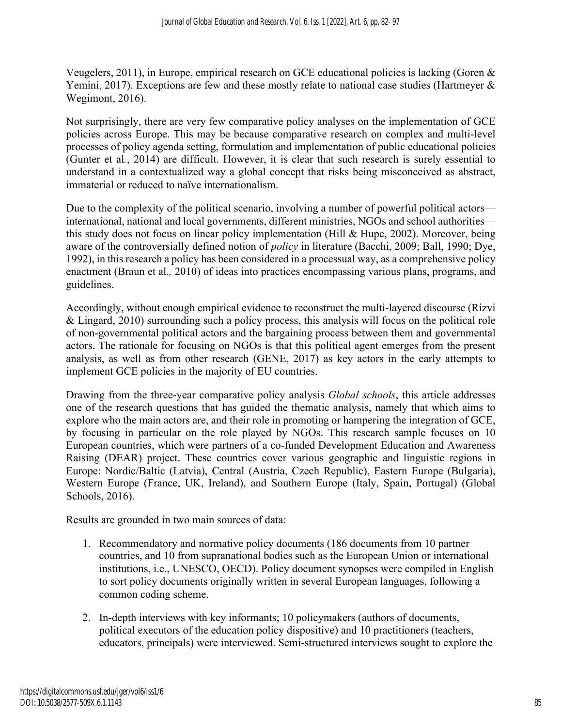Veugelers, 2011), in Europe, empirical research on GCE educational policies is lacking (Goren & Yemini, 2017). Exceptions are few and these mostly relate to national case studies (Hartmeyer & Wegimont, 2016).

Not surprisingly, there are very few comparative policy analyses on the implementation of GCE policies across Europe. This may be because comparative research on complex and multi-level processes of policy agenda setting, formulation and implementation of public educational policies (Gunter et al*.*, 2014) are difficult. However, it is clear that such research is surely essential to understand in a contextualized way a global concept that risks being misconceived as abstract, immaterial or reduced to naïve internationalism.

Due to the complexity of the political scenario, involving a number of powerful political actors international, national and local governments, different ministries, NGOs and school authorities this study does not focus on linear policy implementation (Hill & Hupe, 2002). Moreover, being aware of the controversially defined notion of *policy* in literature (Bacchi, 2009; Ball, 1990; Dye, 1992), in this research a policy has been considered in a processual way, as a comprehensive policy enactment (Braun et al*.,* 2010) of ideas into practices encompassing various plans, programs, and guidelines.

Accordingly, without enough empirical evidence to reconstruct the multi-layered discourse (Rizvi & Lingard, 2010) surrounding such a policy process, this analysis will focus on the political role of non-governmental political actors and the bargaining process between them and governmental actors. The rationale for focusing on NGOs is that this political agent emerges from the present analysis, as well as from other research (GENE, 2017) as key actors in the early attempts to implement GCE policies in the majority of EU countries.

Drawing from the three-year comparative policy analysis *Global schools*, this article addresses one of the research questions that has guided the thematic analysis, namely that which aims to explore who the main actors are, and their role in promoting or hampering the integration of GCE, by focusing in particular on the role played by NGOs. This research sample focuses on 10 European countries, which were partners of a co-funded Development Education and Awareness Raising (DEAR) project. These countries cover various geographic and linguistic regions in Europe: Nordic/Baltic (Latvia), Central (Austria, Czech Republic), Eastern Europe (Bulgaria), Western Europe (France, UK, Ireland), and Southern Europe (Italy, Spain, Portugal) (Global Schools, 2016).

Results are grounded in two main sources of data:

- 1. Recommendatory and normative policy documents (186 documents from 10 partner countries, and 10 from supranational bodies such as the European Union or international institutions, i.e., UNESCO, OECD). Policy document synopses were compiled in English to sort policy documents originally written in several European languages, following a common coding scheme.
- 2. In-depth interviews with key informants; 10 policymakers (authors of documents, political executors of the education policy dispositive) and 10 practitioners (teachers, educators, principals) were interviewed. Semi-structured interviews sought to explore the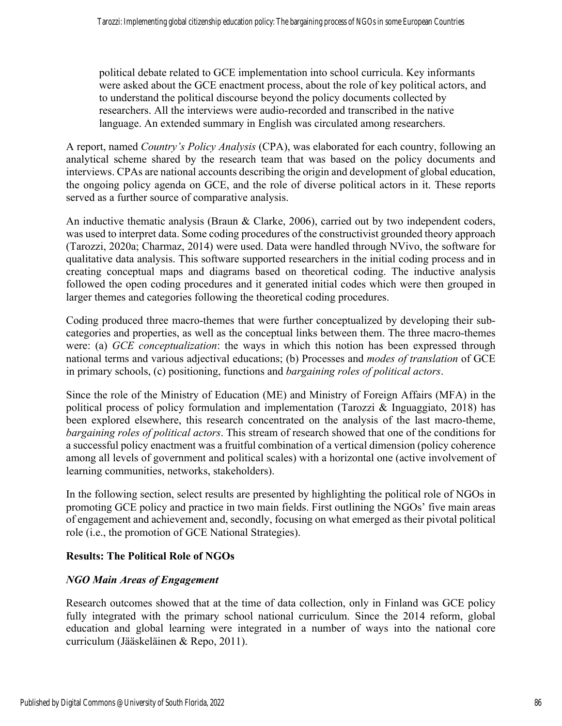political debate related to GCE implementation into school curricula. Key informants were asked about the GCE enactment process, about the role of key political actors, and to understand the political discourse beyond the policy documents collected by researchers. All the interviews were audio-recorded and transcribed in the native language. An extended summary in English was circulated among researchers.

A report, named *Country's Policy Analysis* (CPA), was elaborated for each country, following an analytical scheme shared by the research team that was based on the policy documents and interviews. CPAs are national accounts describing the origin and development of global education, the ongoing policy agenda on GCE, and the role of diverse political actors in it. These reports served as a further source of comparative analysis.

An inductive thematic analysis (Braun & Clarke, 2006), carried out by two independent coders, was used to interpret data. Some coding procedures of the constructivist grounded theory approach (Tarozzi, 2020a; Charmaz, 2014) were used. Data were handled through NVivo, the software for qualitative data analysis. This software supported researchers in the initial coding process and in creating conceptual maps and diagrams based on theoretical coding. The inductive analysis followed the open coding procedures and it generated initial codes which were then grouped in larger themes and categories following the theoretical coding procedures.

Coding produced three macro-themes that were further conceptualized by developing their subcategories and properties, as well as the conceptual links between them. The three macro-themes were: (a) *GCE conceptualization*: the ways in which this notion has been expressed through national terms and various adjectival educations; (b) Processes and *modes of translation* of GCE in primary schools, (c) positioning, functions and *bargaining roles of political actors*.

Since the role of the Ministry of Education (ME) and Ministry of Foreign Affairs (MFA) in the political process of policy formulation and implementation (Tarozzi & Inguaggiato, 2018) has been explored elsewhere, this research concentrated on the analysis of the last macro-theme, *bargaining roles of political actors*. This stream of research showed that one of the conditions for a successful policy enactment was a fruitful combination of a vertical dimension (policy coherence among all levels of government and political scales) with a horizontal one (active involvement of learning communities, networks, stakeholders).

In the following section, select results are presented by highlighting the political role of NGOs in promoting GCE policy and practice in two main fields. First outlining the NGOs' five main areas of engagement and achievement and, secondly, focusing on what emerged as their pivotal political role (i.e., the promotion of GCE National Strategies).

## **Results: The Political Role of NGOs**

## *NGO Main Areas of Engagement*

Research outcomes showed that at the time of data collection, only in Finland was GCE policy fully integrated with the primary school national curriculum. Since the 2014 reform, global education and global learning were integrated in a number of ways into the national core curriculum (Jääskeläinen & Repo, 2011).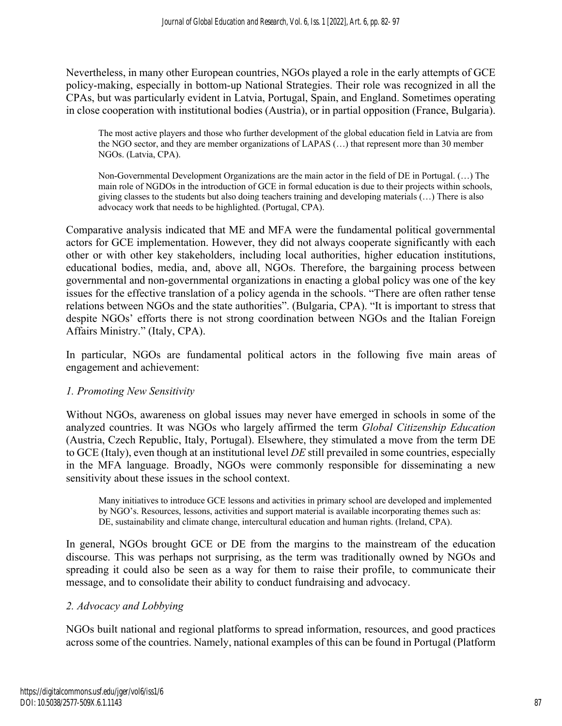Nevertheless, in many other European countries, NGOs played a role in the early attempts of GCE policy-making, especially in bottom-up National Strategies. Their role was recognized in all the CPAs, but was particularly evident in Latvia, Portugal, Spain, and England. Sometimes operating in close cooperation with institutional bodies (Austria), or in partial opposition (France, Bulgaria).

The most active players and those who further development of the global education field in Latvia are from the NGO sector, and they are member organizations of LAPAS (…) that represent more than 30 member NGOs. (Latvia, CPA).

Non-Governmental Development Organizations are the main actor in the field of DE in Portugal. (…) The main role of NGDOs in the introduction of GCE in formal education is due to their projects within schools, giving classes to the students but also doing teachers training and developing materials (…) There is also advocacy work that needs to be highlighted. (Portugal, CPA).

Comparative analysis indicated that ME and MFA were the fundamental political governmental actors for GCE implementation. However, they did not always cooperate significantly with each other or with other key stakeholders, including local authorities, higher education institutions, educational bodies, media, and, above all, NGOs. Therefore, the bargaining process between governmental and non-governmental organizations in enacting a global policy was one of the key issues for the effective translation of a policy agenda in the schools. "There are often rather tense relations between NGOs and the state authorities". (Bulgaria, CPA). "It is important to stress that despite NGOs' efforts there is not strong coordination between NGOs and the Italian Foreign Affairs Ministry." (Italy, CPA).

In particular, NGOs are fundamental political actors in the following five main areas of engagement and achievement:

## *1. Promoting New Sensitivity*

Without NGOs, awareness on global issues may never have emerged in schools in some of the analyzed countries. It was NGOs who largely affirmed the term *Global Citizenship Education* (Austria, Czech Republic, Italy, Portugal). Elsewhere, they stimulated a move from the term DE to GCE (Italy), even though at an institutional level *DE* still prevailed in some countries, especially in the MFA language. Broadly, NGOs were commonly responsible for disseminating a new sensitivity about these issues in the school context.

Many initiatives to introduce GCE lessons and activities in primary school are developed and implemented by NGO's. Resources, lessons, activities and support material is available incorporating themes such as: DE, sustainability and climate change, intercultural education and human rights. (Ireland, CPA).

In general, NGOs brought GCE or DE from the margins to the mainstream of the education discourse. This was perhaps not surprising, as the term was traditionally owned by NGOs and spreading it could also be seen as a way for them to raise their profile, to communicate their message, and to consolidate their ability to conduct fundraising and advocacy.

## *2. Advocacy and Lobbying*

NGOs built national and regional platforms to spread information, resources, and good practices across some of the countries. Namely, national examples of this can be found in Portugal (Platform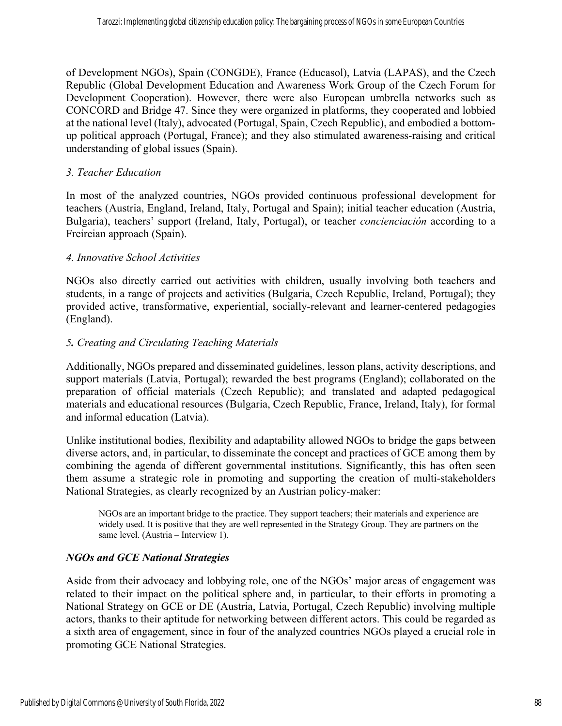of Development NGOs), Spain (CONGDE), France (Educasol), Latvia (LAPAS), and the Czech Republic (Global Development Education and Awareness Work Group of the Czech Forum for Development Cooperation). However, there were also European umbrella networks such as CONCORD and Bridge 47. Since they were organized in platforms, they cooperated and lobbied at the national level (Italy), advocated (Portugal, Spain, Czech Republic), and embodied a bottomup political approach (Portugal, France); and they also stimulated awareness-raising and critical understanding of global issues (Spain).

#### *3. Teacher Education*

In most of the analyzed countries, NGOs provided continuous professional development for teachers (Austria, England, Ireland, Italy, Portugal and Spain); initial teacher education (Austria, Bulgaria), teachers' support (Ireland, Italy, Portugal), or teacher *concienciación* according to a Freireian approach (Spain).

#### *4. Innovative School Activities*

NGOs also directly carried out activities with children, usually involving both teachers and students, in a range of projects and activities (Bulgaria, Czech Republic, Ireland, Portugal); they provided active, transformative, experiential, socially-relevant and learner-centered pedagogies (England).

#### *5. Creating and Circulating Teaching Materials*

Additionally, NGOs prepared and disseminated guidelines, lesson plans, activity descriptions, and support materials (Latvia, Portugal); rewarded the best programs (England); collaborated on the preparation of official materials (Czech Republic); and translated and adapted pedagogical materials and educational resources (Bulgaria, Czech Republic, France, Ireland, Italy), for formal and informal education (Latvia).

Unlike institutional bodies, flexibility and adaptability allowed NGOs to bridge the gaps between diverse actors, and, in particular, to disseminate the concept and practices of GCE among them by combining the agenda of different governmental institutions. Significantly, this has often seen them assume a strategic role in promoting and supporting the creation of multi-stakeholders National Strategies, as clearly recognized by an Austrian policy-maker:

NGOs are an important bridge to the practice. They support teachers; their materials and experience are widely used. It is positive that they are well represented in the Strategy Group. They are partners on the same level. (Austria – Interview 1).

## *NGOs and GCE National Strategies*

Aside from their advocacy and lobbying role, one of the NGOs' major areas of engagement was related to their impact on the political sphere and, in particular, to their efforts in promoting a National Strategy on GCE or DE (Austria, Latvia, Portugal, Czech Republic) involving multiple actors, thanks to their aptitude for networking between different actors. This could be regarded as a sixth area of engagement, since in four of the analyzed countries NGOs played a crucial role in promoting GCE National Strategies.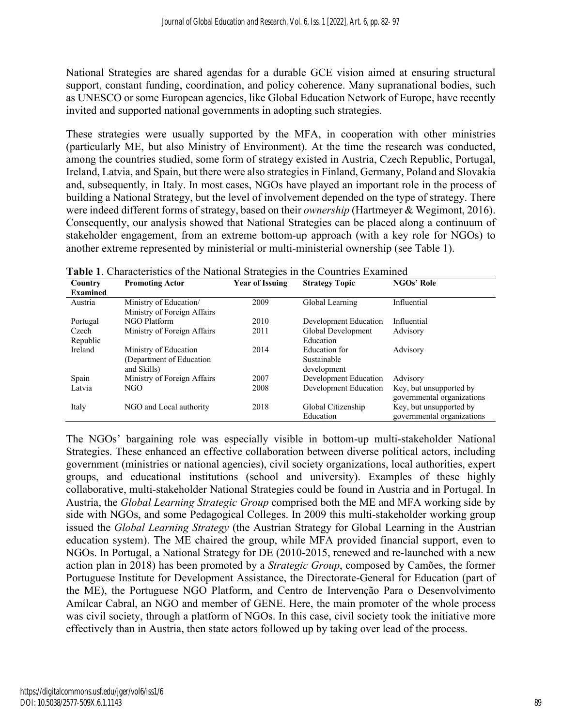National Strategies are shared agendas for a durable GCE vision aimed at ensuring structural support, constant funding, coordination, and policy coherence. Many supranational bodies, such as UNESCO or some European agencies, like Global Education Network of Europe, have recently invited and supported national governments in adopting such strategies.

These strategies were usually supported by the MFA, in cooperation with other ministries (particularly ME, but also Ministry of Environment). At the time the research was conducted, among the countries studied, some form of strategy existed in Austria, Czech Republic, Portugal, Ireland, Latvia, and Spain, but there were also strategies in Finland, Germany, Poland and Slovakia and, subsequently, in Italy. In most cases, NGOs have played an important role in the process of building a National Strategy, but the level of involvement depended on the type of strategy. There were indeed different forms of strategy, based on their *ownership* (Hartmeyer & Wegimont, 2016). Consequently, our analysis showed that National Strategies can be placed along a continuum of stakeholder engagement, from an extreme bottom-up approach (with a key role for NGOs) to another extreme represented by ministerial or multi-ministerial ownership (see Table 1).

| Country         | <b>Promoting Actor</b>      | <b>Year of Issuing</b> | <b>Strategy Topic</b> | <b>NGOs' Role</b>          |  |
|-----------------|-----------------------------|------------------------|-----------------------|----------------------------|--|
| <b>Examined</b> |                             |                        |                       |                            |  |
| Austria         | Ministry of Education/      | 2009                   | Global Learning       | Influential                |  |
|                 | Ministry of Foreign Affairs |                        |                       |                            |  |
| Portugal        | NGO Platform                | 2010                   | Development Education | Influential                |  |
| Czech           | Ministry of Foreign Affairs | 2011                   | Global Development    | Advisory                   |  |
| Republic        |                             |                        | Education             |                            |  |
| Ireland         | Ministry of Education       | 2014                   | Education for         | Advisory                   |  |
|                 | (Department of Education)   |                        | Sustainable           |                            |  |
|                 | and Skills)                 |                        | development           |                            |  |
| Spain           | Ministry of Foreign Affairs | 2007                   | Development Education | Advisory                   |  |
| Latvia          | NGO                         | 2008                   | Development Education | Key, but unsupported by    |  |
|                 |                             |                        |                       | governmental organizations |  |
| Italy           | NGO and Local authority     | 2018                   | Global Citizenship    | Key, but unsupported by    |  |
|                 |                             |                        | Education             | governmental organizations |  |

| Table 1. Characteristics of the National Strategies in the Countries Examined |  |  |  |
|-------------------------------------------------------------------------------|--|--|--|
|                                                                               |  |  |  |

The NGOs' bargaining role was especially visible in bottom-up multi-stakeholder National Strategies. These enhanced an effective collaboration between diverse political actors, including government (ministries or national agencies), civil society organizations, local authorities, expert groups, and educational institutions (school and university). Examples of these highly collaborative, multi-stakeholder National Strategies could be found in Austria and in Portugal. In Austria, the *Global Learning Strategic Group* comprised both the ME and MFA working side by side with NGOs, and some Pedagogical Colleges. In 2009 this multi-stakeholder working group issued the *Global Learning Strategy* (the Austrian Strategy for Global Learning in the Austrian education system). The ME chaired the group, while MFA provided financial support, even to NGOs. In Portugal, a National Strategy for DE (2010-2015, renewed and re-launched with a new action plan in 2018) has been promoted by a *Strategic Group*, composed by Camões, the former Portuguese Institute for Development Assistance, the Directorate-General for Education (part of the ME), the Portuguese NGO Platform, and Centro de Intervenção Para o Desenvolvimento Amílcar Cabral, an NGO and member of GENE. Here, the main promoter of the whole process was civil society, through a platform of NGOs. In this case, civil society took the initiative more effectively than in Austria, then state actors followed up by taking over lead of the process.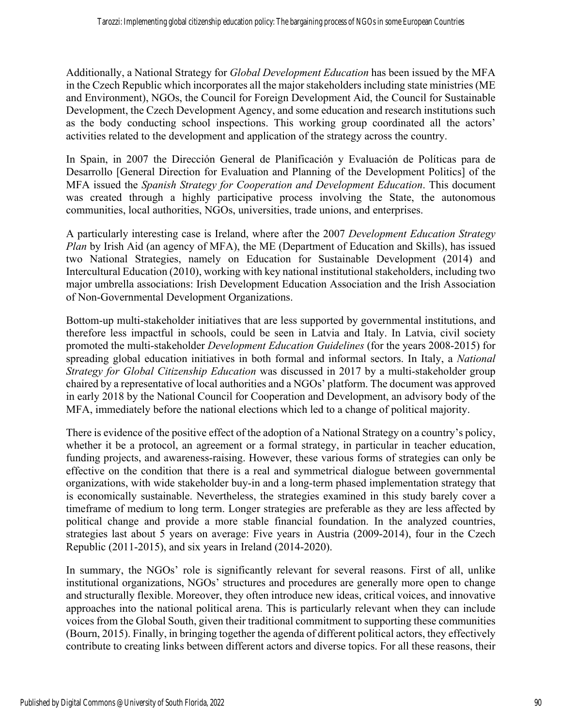Additionally, a National Strategy for *Global Development Education* has been issued by the MFA in the Czech Republic which incorporates all the major stakeholders including state ministries (ME and Environment), NGOs, the Council for Foreign Development Aid, the Council for Sustainable Development, the Czech Development Agency, and some education and research institutions such as the body conducting school inspections. This working group coordinated all the actors' activities related to the development and application of the strategy across the country.

In Spain, in 2007 the Dirección General de Planificación y Evaluación de Políticas para de Desarrollo [General Direction for Evaluation and Planning of the Development Politics] of the MFA issued the *Spanish Strategy for Cooperation and Development Education*. This document was created through a highly participative process involving the State, the autonomous communities, local authorities, NGOs, universities, trade unions, and enterprises.

A particularly interesting case is Ireland, where after the 2007 *Development Education Strategy Plan* by Irish Aid (an agency of MFA), the ME (Department of Education and Skills), has issued two National Strategies, namely on Education for Sustainable Development (2014) and Intercultural Education (2010), working with key national institutional stakeholders, including two major umbrella associations: Irish Development Education Association and the Irish Association of Non-Governmental Development Organizations.

Bottom-up multi-stakeholder initiatives that are less supported by governmental institutions, and therefore less impactful in schools, could be seen in Latvia and Italy. In Latvia, civil society promoted the multi-stakeholder *Development Education Guidelines* (for the years 2008-2015) for spreading global education initiatives in both formal and informal sectors. In Italy, a *National Strategy for Global Citizenship Education* was discussed in 2017 by a multi-stakeholder group chaired by a representative of local authorities and a NGOs' platform. The document was approved in early 2018 by the National Council for Cooperation and Development, an advisory body of the MFA, immediately before the national elections which led to a change of political majority.

There is evidence of the positive effect of the adoption of a National Strategy on a country's policy, whether it be a protocol, an agreement or a formal strategy, in particular in teacher education, funding projects, and awareness-raising. However, these various forms of strategies can only be effective on the condition that there is a real and symmetrical dialogue between governmental organizations, with wide stakeholder buy-in and a long-term phased implementation strategy that is economically sustainable. Nevertheless, the strategies examined in this study barely cover a timeframe of medium to long term. Longer strategies are preferable as they are less affected by political change and provide a more stable financial foundation. In the analyzed countries, strategies last about 5 years on average: Five years in Austria (2009-2014), four in the Czech Republic (2011-2015), and six years in Ireland (2014-2020).

In summary, the NGOs' role is significantly relevant for several reasons. First of all, unlike institutional organizations, NGOs' structures and procedures are generally more open to change and structurally flexible. Moreover, they often introduce new ideas, critical voices, and innovative approaches into the national political arena. This is particularly relevant when they can include voices from the Global South, given their traditional commitment to supporting these communities (Bourn, 2015). Finally, in bringing together the agenda of different political actors, they effectively contribute to creating links between different actors and diverse topics. For all these reasons, their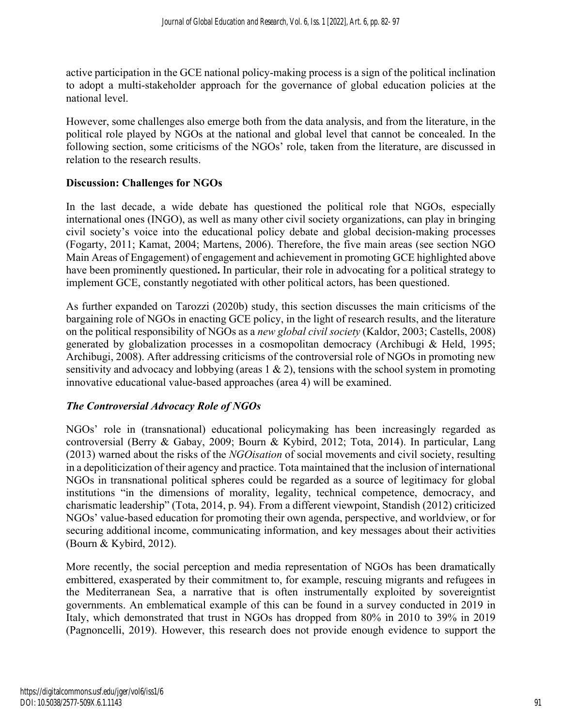active participation in the GCE national policy-making process is a sign of the political inclination to adopt a multi-stakeholder approach for the governance of global education policies at the national level.

However, some challenges also emerge both from the data analysis, and from the literature, in the political role played by NGOs at the national and global level that cannot be concealed. In the following section, some criticisms of the NGOs' role, taken from the literature, are discussed in relation to the research results.

## **Discussion: Challenges for NGOs**

In the last decade, a wide debate has questioned the political role that NGOs, especially international ones (INGO), as well as many other civil society organizations, can play in bringing civil society's voice into the educational policy debate and global decision-making processes (Fogarty, 2011; Kamat, 2004; Martens, 2006). Therefore, the five main areas (see section NGO Main Areas of Engagement) of engagement and achievement in promoting GCE highlighted above have been prominently questioned**.** In particular, their role in advocating for a political strategy to implement GCE, constantly negotiated with other political actors, has been questioned.

As further expanded on Tarozzi (2020b) study, this section discusses the main criticisms of the bargaining role of NGOs in enacting GCE policy, in the light of research results, and the literature on the political responsibility of NGOs as a *new global civil society* (Kaldor, 2003; Castells, 2008) generated by globalization processes in a cosmopolitan democracy (Archibugi & Held, 1995; Archibugi, 2008). After addressing criticisms of the controversial role of NGOs in promoting new sensitivity and advocacy and lobbying (areas  $1 \& 2$ ), tensions with the school system in promoting innovative educational value-based approaches (area 4) will be examined.

## *The Controversial Advocacy Role of NGOs*

NGOs' role in (transnational) educational policymaking has been increasingly regarded as controversial (Berry & Gabay, 2009; Bourn & Kybird, 2012; Tota, 2014). In particular, Lang (2013) warned about the risks of the *NGOisation* of social movements and civil society, resulting in a depoliticization of their agency and practice. Tota maintained that the inclusion of international NGOs in transnational political spheres could be regarded as a source of legitimacy for global institutions "in the dimensions of morality, legality, technical competence, democracy, and charismatic leadership" (Tota, 2014, p. 94). From a different viewpoint, Standish (2012) criticized NGOs' value-based education for promoting their own agenda, perspective, and worldview, or for securing additional income, communicating information, and key messages about their activities (Bourn & Kybird, 2012).

More recently, the social perception and media representation of NGOs has been dramatically embittered, exasperated by their commitment to, for example, rescuing migrants and refugees in the Mediterranean Sea, a narrative that is often instrumentally exploited by sovereigntist governments. An emblematical example of this can be found in a survey conducted in 2019 in Italy, which demonstrated that trust in NGOs has dropped from 80% in 2010 to 39% in 2019 (Pagnoncelli, 2019). However, this research does not provide enough evidence to support the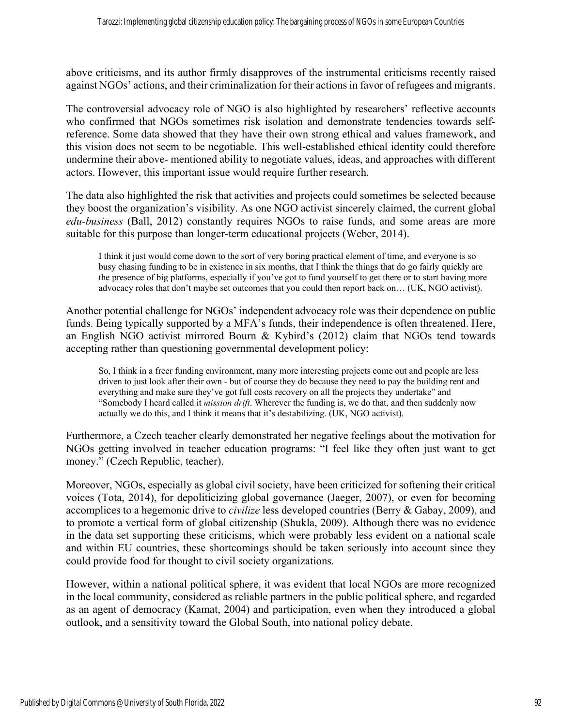above criticisms, and its author firmly disapproves of the instrumental criticisms recently raised against NGOs' actions, and their criminalization for their actions in favor of refugees and migrants.

The controversial advocacy role of NGO is also highlighted by researchers' reflective accounts who confirmed that NGOs sometimes risk isolation and demonstrate tendencies towards selfreference. Some data showed that they have their own strong ethical and values framework, and this vision does not seem to be negotiable. This well-established ethical identity could therefore undermine their above- mentioned ability to negotiate values, ideas, and approaches with different actors. However, this important issue would require further research.

The data also highlighted the risk that activities and projects could sometimes be selected because they boost the organization's visibility. As one NGO activist sincerely claimed, the current global *edu-business* (Ball, 2012) constantly requires NGOs to raise funds, and some areas are more suitable for this purpose than longer-term educational projects (Weber, 2014).

I think it just would come down to the sort of very boring practical element of time, and everyone is so busy chasing funding to be in existence in six months, that I think the things that do go fairly quickly are the presence of big platforms, especially if you've got to fund yourself to get there or to start having more advocacy roles that don't maybe set outcomes that you could then report back on… (UK, NGO activist).

Another potential challenge for NGOs' independent advocacy role was their dependence on public funds. Being typically supported by a MFA's funds, their independence is often threatened. Here, an English NGO activist mirrored Bourn & Kybird's (2012) claim that NGOs tend towards accepting rather than questioning governmental development policy:

So, I think in a freer funding environment, many more interesting projects come out and people are less driven to just look after their own - but of course they do because they need to pay the building rent and everything and make sure they've got full costs recovery on all the projects they undertake" and "Somebody I heard called it *mission drift*. Wherever the funding is, we do that, and then suddenly now actually we do this, and I think it means that it's destabilizing. (UK, NGO activist).

Furthermore, a Czech teacher clearly demonstrated her negative feelings about the motivation for NGOs getting involved in teacher education programs: "I feel like they often just want to get money." (Czech Republic, teacher).

Moreover, NGOs, especially as global civil society, have been criticized for softening their critical voices (Tota, 2014), for depoliticizing global governance (Jaeger, 2007), or even for becoming accomplices to a hegemonic drive to *civilize* less developed countries (Berry & Gabay, 2009), and to promote a vertical form of global citizenship (Shukla, 2009). Although there was no evidence in the data set supporting these criticisms, which were probably less evident on a national scale and within EU countries, these shortcomings should be taken seriously into account since they could provide food for thought to civil society organizations.

However, within a national political sphere, it was evident that local NGOs are more recognized in the local community, considered as reliable partners in the public political sphere, and regarded as an agent of democracy (Kamat, 2004) and participation, even when they introduced a global outlook, and a sensitivity toward the Global South, into national policy debate.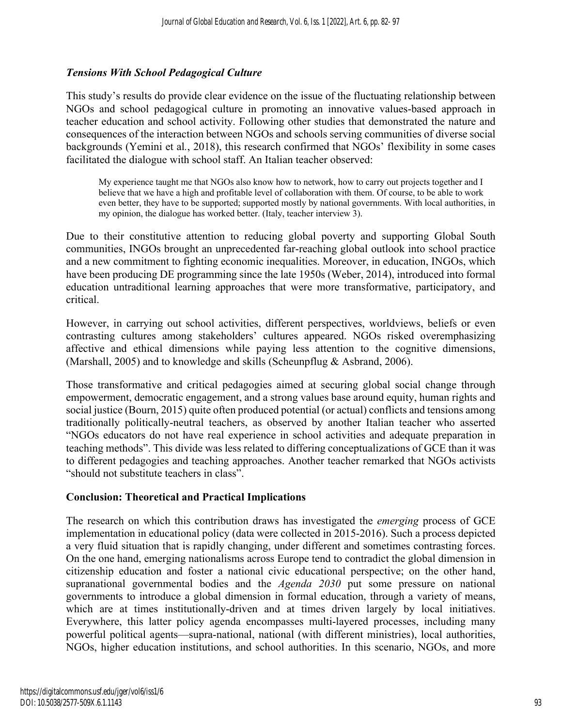# *Tensions With School Pedagogical Culture*

This study's results do provide clear evidence on the issue of the fluctuating relationship between NGOs and school pedagogical culture in promoting an innovative values-based approach in teacher education and school activity. Following other studies that demonstrated the nature and consequences of the interaction between NGOs and schools serving communities of diverse social backgrounds (Yemini et al*.*, 2018), this research confirmed that NGOs' flexibility in some cases facilitated the dialogue with school staff. An Italian teacher observed:

My experience taught me that NGOs also know how to network, how to carry out projects together and I believe that we have a high and profitable level of collaboration with them. Of course, to be able to work even better, they have to be supported; supported mostly by national governments. With local authorities, in my opinion, the dialogue has worked better. (Italy, teacher interview 3).

Due to their constitutive attention to reducing global poverty and supporting Global South communities, INGOs brought an unprecedented far-reaching global outlook into school practice and a new commitment to fighting economic inequalities. Moreover, in education, INGOs, which have been producing DE programming since the late 1950s (Weber, 2014), introduced into formal education untraditional learning approaches that were more transformative, participatory, and critical.

However, in carrying out school activities, different perspectives, worldviews, beliefs or even contrasting cultures among stakeholders' cultures appeared. NGOs risked overemphasizing affective and ethical dimensions while paying less attention to the cognitive dimensions, (Marshall, 2005) and to knowledge and skills (Scheunpflug & Asbrand, 2006).

Those transformative and critical pedagogies aimed at securing global social change through empowerment, democratic engagement, and a strong values base around equity, human rights and social justice (Bourn, 2015) quite often produced potential (or actual) conflicts and tensions among traditionally politically-neutral teachers, as observed by another Italian teacher who asserted "NGOs educators do not have real experience in school activities and adequate preparation in teaching methods". This divide was less related to differing conceptualizations of GCE than it was to different pedagogies and teaching approaches. Another teacher remarked that NGOs activists "should not substitute teachers in class".

## **Conclusion: Theoretical and Practical Implications**

The research on which this contribution draws has investigated the *emerging* process of GCE implementation in educational policy (data were collected in 2015-2016). Such a process depicted a very fluid situation that is rapidly changing, under different and sometimes contrasting forces. On the one hand, emerging nationalisms across Europe tend to contradict the global dimension in citizenship education and foster a national civic educational perspective; on the other hand, supranational governmental bodies and the *Agenda 2030* put some pressure on national governments to introduce a global dimension in formal education, through a variety of means, which are at times institutionally-driven and at times driven largely by local initiatives. Everywhere, this latter policy agenda encompasses multi-layered processes, including many powerful political agents—supra-national, national (with different ministries), local authorities, NGOs, higher education institutions, and school authorities. In this scenario, NGOs, and more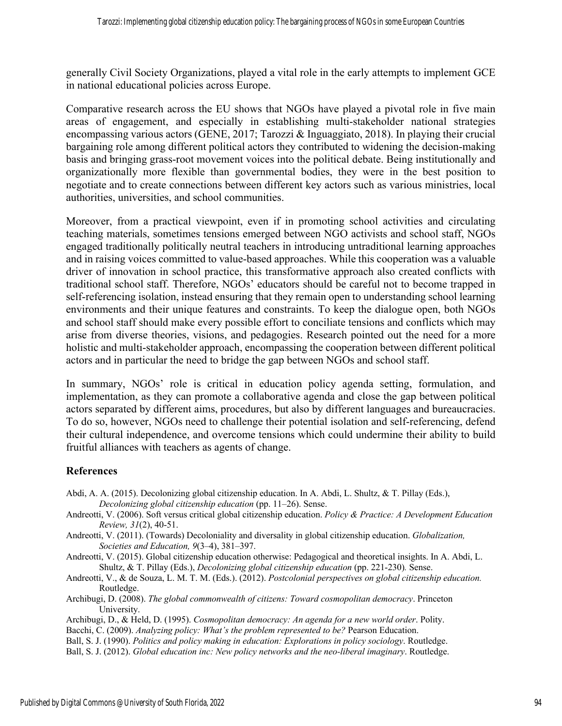generally Civil Society Organizations, played a vital role in the early attempts to implement GCE in national educational policies across Europe.

Comparative research across the EU shows that NGOs have played a pivotal role in five main areas of engagement, and especially in establishing multi-stakeholder national strategies encompassing various actors (GENE, 2017; Tarozzi & Inguaggiato, 2018). In playing their crucial bargaining role among different political actors they contributed to widening the decision-making basis and bringing grass-root movement voices into the political debate. Being institutionally and organizationally more flexible than governmental bodies, they were in the best position to negotiate and to create connections between different key actors such as various ministries, local authorities, universities, and school communities.

Moreover, from a practical viewpoint, even if in promoting school activities and circulating teaching materials, sometimes tensions emerged between NGO activists and school staff, NGOs engaged traditionally politically neutral teachers in introducing untraditional learning approaches and in raising voices committed to value-based approaches. While this cooperation was a valuable driver of innovation in school practice, this transformative approach also created conflicts with traditional school staff. Therefore, NGOs' educators should be careful not to become trapped in self-referencing isolation, instead ensuring that they remain open to understanding school learning environments and their unique features and constraints. To keep the dialogue open, both NGOs and school staff should make every possible effort to conciliate tensions and conflicts which may arise from diverse theories, visions, and pedagogies. Research pointed out the need for a more holistic and multi-stakeholder approach, encompassing the cooperation between different political actors and in particular the need to bridge the gap between NGOs and school staff.

In summary, NGOs' role is critical in education policy agenda setting, formulation, and implementation, as they can promote a collaborative agenda and close the gap between political actors separated by different aims, procedures, but also by different languages and bureaucracies. To do so, however, NGOs need to challenge their potential isolation and self-referencing, defend their cultural independence, and overcome tensions which could undermine their ability to build fruitful alliances with teachers as agents of change.

#### **References**

- Abdi, A. A. (2015). Decolonizing global citizenship education. In A. Abdi, L. Shultz, & T. Pillay (Eds.), *Decolonizing global citizenship education* (pp. 11–26). Sense.
- Andreotti, V. (2006). Soft versus critical global citizenship education. *Policy & Practice: A Development Education Review, 31*(2), 40-51.
- Andreotti, V. (2011). (Towards) Decoloniality and diversality in global citizenship education. *Globalization, Societies and Education, 9*(3–4), 381–397.
- Andreotti, V. (2015). Global citizenship education otherwise: Pedagogical and theoretical insights. In A. Abdi, L. Shultz, & T. Pillay (Eds.), *Decolonizing global citizenship education* (pp. 221-230)*.* Sense.
- Andreotti, V., & de Souza, L. M. T. M. (Eds.). (2012). *Postcolonial perspectives on global citizenship education.*  Routledge.
- Archibugi, D. (2008). *The global commonwealth of citizens: Toward cosmopolitan democracy*. Princeton University.
- Archibugi, D., & Held, D. (1995). *Cosmopolitan democracy: An agenda for a new world order*. Polity.
- Bacchi, C. (2009). *Analyzing policy: What's the problem represented to be?* Pearson Education.

Ball, S. J. (1990). *Politics and policy making in education: Explorations in policy sociology*. Routledge. Ball, S. J. (2012). *Global education inc: New policy networks and the neo-liberal imaginary*. Routledge.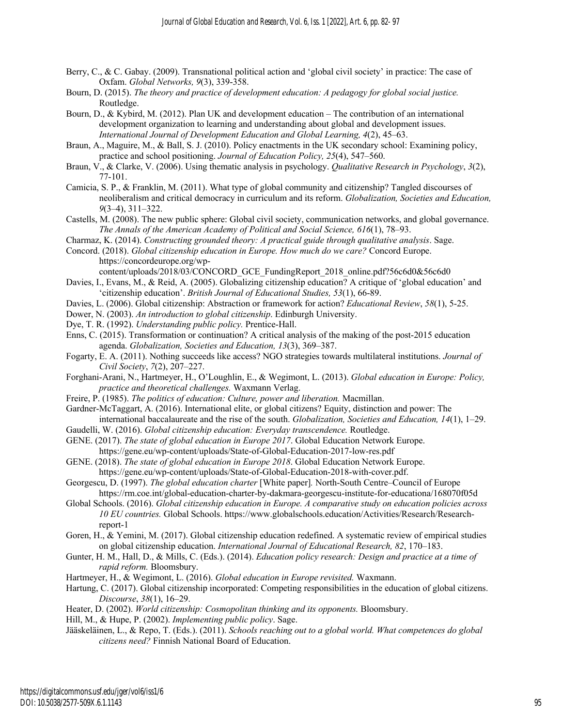- Berry, C., & C. Gabay. (2009). Transnational political action and 'global civil society' in practice: The case of Oxfam. *Global Networks, 9*(3), 339-358.
- Bourn, D. (2015). *The theory and practice of development education: A pedagogy for global social justice.*  Routledge.
- Bourn, D., & Kybird, M. (2012). Plan UK and development education The contribution of an international development organization to learning and understanding about global and development issues. *International Journal of Development Education and Global Learning, 4*(2), 45–63.
- Braun, A., Maguire, M., & Ball, S. J. (2010). Policy enactments in the UK secondary school: Examining policy, practice and school positioning. *Journal of Education Policy, 25*(4), 547–560.
- Braun, V., & Clarke, V. (2006). Using thematic analysis in psychology. *Qualitative Research in Psychology*, *3*(2), 77-101.
- Camicia, S. P., & Franklin, M. (2011). What type of global community and citizenship? Tangled discourses of neoliberalism and critical democracy in curriculum and its reform. *Globalization, Societies and Education, 9*(3–4), 311–322.
- Castells, M. (2008). The new public sphere: Global civil society, communication networks, and global governance. *The Annals of the American Academy of Political and Social Science, 616*(1), 78–93.
- Charmaz, K. (2014). *Constructing grounded theory: A practical guide through qualitative analysis*. Sage.
- Concord. (2018). *Global citizenship education in Europe. How much do we care?* Concord Europe. https://concordeurope.org/wp-

content/uploads/2018/03/CONCORD\_GCE\_FundingReport\_2018\_online.pdf?56c6d0&56c6d0

- Davies, I., Evans, M., & Reid, A. (2005). Globalizing citizenship education? A critique of 'global education' and 'citizenship education'. *British Journal of Educational Studies, 53*(1), 66-89.
- Davies, L. (2006). Global citizenship: Abstraction or framework for action? *Educational Review*, *58*(1), 5-25.
- Dower, N. (2003). *An introduction to global citizenship*. Edinburgh University.
- Dye, T. R. (1992). *Understanding public policy.* Prentice-Hall.
- Enns, C. (2015). Transformation or continuation? A critical analysis of the making of the post-2015 education agenda. *Globalization, Societies and Education, 13*(3), 369–387.
- Fogarty, E. A. (2011). Nothing succeeds like access? NGO strategies towards multilateral institutions. *Journal of Civil Society*, *7*(2), 207–227.
- Forghani-Arani, N., Hartmeyer, H., O'Loughlin, E., & Wegimont, L. (2013). *Global education in Europe: Policy, practice and theoretical challenges.* Waxmann Verlag.
- Freire, P. (1985). *The politics of education: Culture, power and liberation.* Macmillan.

Gardner-McTaggart, A. (2016). International elite, or global citizens? Equity, distinction and power: The international baccalaureate and the rise of the south. *Globalization, Societies and Education, 14*(1), 1–29.

- Gaudelli, W. (2016). *Global citizenship education: Everyday transcendence.* Routledge.
- GENE. (2017). *The state of global education in Europe 2017*. Global Education Network Europe. https://gene.eu/wp-content/uploads/State-of-Global-Education-2017-low-res.pdf
- GENE. (2018). *The state of global education in Europe 2018*. Global Education Network Europe. https://gene.eu/wp-content/uploads/State-of-Global-Education-2018-with-cover.pdf.
- Georgescu, D. (1997). *The global education charter* [White paper]*.* North-South Centre–Council of Europe https://rm.coe.int/global-education-charter-by-dakmara-georgescu-institute-for-educationa/168070f05d
- Global Schools. (2016). *Global citizenship education in Europe. A comparative study on education policies across 10 EU countries.* Global Schools. https://www.globalschools.education/Activities/Research/Researchreport-1
- Goren, H., & Yemini, M. (2017). Global citizenship education redefined. A systematic review of empirical studies on global citizenship education. *International Journal of Educational Research, 82*, 170–183.
- Gunter, H. M., Hall, D., & Mills, C. (Eds.). (2014). *Education policy research: Design and practice at a time of rapid reform.* Bloomsbury.
- Hartmeyer, H., & Wegimont, L. (2016). *Global education in Europe revisited.* Waxmann.
- Hartung, C. (2017). Global citizenship incorporated: Competing responsibilities in the education of global citizens. *Discourse*, *38*(1), 16–29.
- Heater, D. (2002). *World citizenship: Cosmopolitan thinking and its opponents.* Bloomsbury.

Hill, M., & Hupe, P. (2002). *Implementing public policy*. Sage.

Jääskeläinen, L., & Repo, T. (Eds.). (2011). *Schools reaching out to a global world. What competences do global citizens need?* Finnish National Board of Education.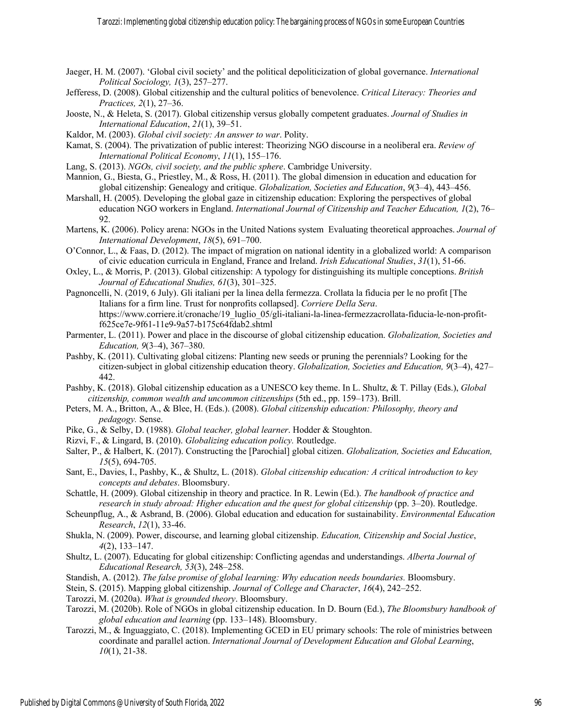- Jaeger, H. M. (2007). 'Global civil society' and the political depoliticization of global governance. *International Political Sociology, 1*(3), 257–277.
- Jefferess, D. (2008). Global citizenship and the cultural politics of benevolence. *Critical Literacy: Theories and Practices, 2*(1), 27–36.
- Jooste, N., & Heleta, S. (2017). Global citizenship versus globally competent graduates. *Journal of Studies in International Education*, *21*(1), 39–51.
- Kaldor, M. (2003). *Global civil society: An answer to war*. Polity.
- Kamat, S. (2004). The privatization of public interest: Theorizing NGO discourse in a neoliberal era. *Review of International Political Economy*, *11*(1), 155–176.
- Lang, S. (2013). *NGOs, civil society, and the public sphere*. Cambridge University.
- Mannion, G., Biesta, G., Priestley, M., & Ross, H. (2011). The global dimension in education and education for global citizenship: Genealogy and critique. *Globalization, Societies and Education*, *9*(3–4), 443–456.
- Marshall, H. (2005). Developing the global gaze in citizenship education: Exploring the perspectives of global education NGO workers in England. *International Journal of Citizenship and Teacher Education, 1*(2), 76– 92.
- Martens, K. (2006). Policy arena: NGOs in the United Nations system Evaluating theoretical approaches. *Journal of International Development*, *18*(5), 691–700.
- O'Connor, L., & Faas, D. (2012). The impact of migration on national identity in a globalized world: A comparison of civic education curricula in England, France and Ireland. *Irish Educational Studies*, *31*(1), 51-66.
- Oxley, L., & Morris, P. (2013). Global citizenship: A typology for distinguishing its multiple conceptions. *British Journal of Educational Studies, 61*(3), 301–325.
- Pagnoncelli, N. (2019, 6 July). Gli italiani per la linea della fermezza. Crollata la fiducia per le no profit [The Italians for a firm line. Trust for nonprofits collapsed]. *Corriere Della Sera*. https://www.corriere.it/cronache/19\_luglio\_05/gli-italiani-la-linea-fermezzacrollata-fiducia-le-non-profitf625ce7e-9f61-11e9-9a57-b175c64fdab2.shtml
- Parmenter, L. (2011). Power and place in the discourse of global citizenship education. *Globalization, Societies and Education, 9*(3–4), 367–380.
- Pashby, K. (2011). Cultivating global citizens: Planting new seeds or pruning the perennials? Looking for the citizen-subject in global citizenship education theory. *Globalization, Societies and Education, 9*(3–4), 427– 442.
- Pashby, K. (2018). Global citizenship education as a UNESCO key theme. In L. Shultz, & T. Pillay (Eds.), *Global citizenship, common wealth and uncommon citizenships* (5th ed., pp. 159–173). Brill.
- Peters, M. A., Britton, A., & Blee, H. (Eds.). (2008). *Global citizenship education: Philosophy, theory and pedagogy.* Sense.
- Pike, G., & Selby, D. (1988). *Global teacher, global learner*. Hodder & Stoughton.
- Rizvi, F., & Lingard, B. (2010). *Globalizing education policy.* Routledge.
- Salter, P., & Halbert, K. (2017). Constructing the [Parochial] global citizen. *Globalization, Societies and Education, 15*(5), 694-705.
- Sant, E., Davies, I., Pashby, K., & Shultz, L. (2018). *Global citizenship education: A critical introduction to key concepts and debates*. Bloomsbury.
- Schattle, H. (2009). Global citizenship in theory and practice. In R. Lewin (Ed.). *The handbook of practice and research in study abroad: Higher education and the quest for global citizenship (pp. 3–20). Routledge.*
- Scheunpflug, A., & Asbrand, B. (2006). Global education and education for sustainability. *Environmental Education Research*, *12*(1), 33-46.
- Shukla, N. (2009). Power, discourse, and learning global citizenship. *Education, Citizenship and Social Justice*, *4*(2), 133–147.
- Shultz, L. (2007). Educating for global citizenship: Conflicting agendas and understandings. *Alberta Journal of Educational Research, 53*(3), 248–258.
- Standish, A. (2012). *The false promise of global learning: Why education needs boundaries.* Bloomsbury.
- Stein, S. (2015). Mapping global citizenship. *Journal of College and Character*, *16*(4), 242–252.
- Tarozzi, M. (2020a). *What is grounded theory*. Bloomsbury.
- Tarozzi, M. (2020b). Role of NGOs in global citizenship education. In D. Bourn (Ed.), *The Bloomsbury handbook of global education and learning* (pp. 133–148). Bloomsbury.
- Tarozzi, M., & Inguaggiato, C. (2018). Implementing GCED in EU primary schools: The role of ministries between coordinate and parallel action. *International Journal of Development Education and Global Learning*, *10*(1), 21-38.